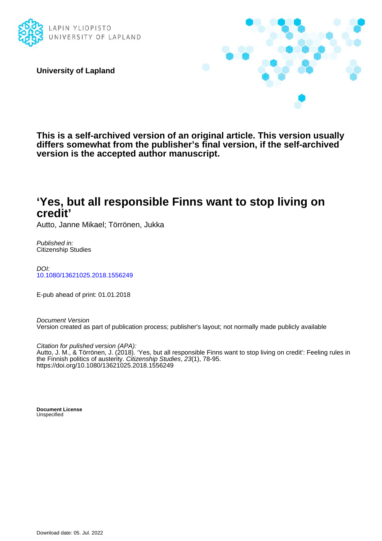

**University of Lapland**



**This is a self-archived version of an original article. This version usually differs somewhat from the publisher's final version, if the self-archived version is the accepted author manuscript.**

# **'Yes, but all responsible Finns want to stop living on credit'**

Autto, Janne Mikael; Törrönen, Jukka

Published in: Citizenship Studies

DOI: [10.1080/13621025.2018.1556249](https://doi.org/10.1080/13621025.2018.1556249)

E-pub ahead of print: 01.01.2018

Document Version Version created as part of publication process; publisher's layout; not normally made publicly available

Citation for pulished version (APA): Autto, J. M., & Törrönen, J. (2018). 'Yes, but all responsible Finns want to stop living on credit': Feeling rules in the Finnish politics of austerity. Citizenship Studies, 23(1), 78-95. <https://doi.org/10.1080/13621025.2018.1556249>

**Document License Unspecified**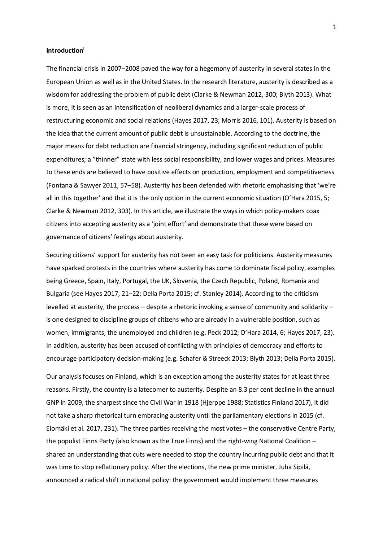### **Introduction[i](#page-3-0)**

The financial crisis in 2007–2008 paved the way for a hegemony of austerity in several states in the European Union as well as in the United States. In the research literature, austerity is described as a wisdom for addressing the problem of public debt (Clarke & Newman 2012, 300; Blyth 2013). What is more, it is seen as an intensification of neoliberal dynamics and a larger-scale process of restructuring economic and social relations (Hayes 2017, 23; Morris 2016, 101). Austerity is based on the idea that the current amount of public debt is unsustainable. According to the doctrine, the major means for debt reduction are financial stringency, including significant reduction of public expenditures; a "thinner" state with less social responsibility, and lower wages and prices. Measures to these ends are believed to have positive effects on production, employment and competitiveness (Fontana & Sawyer 2011, 57–58). Austerity has been defended with rhetoric emphasising that 'we're all in this together' and that it is the only option in the current economic situation (O'Hara 2015, 5; Clarke & Newman 2012, 303). In this article, we illustrate the ways in which policy-makers coax citizens into accepting austerity as a 'joint effort' and demonstrate that these were based on governance of citizens' feelings about austerity.

Securing citizens' support for austerity has not been an easy task for politicians. Austerity measures have sparked protests in the countries where austerity has come to dominate fiscal policy, examples being Greece, Spain, Italy, Portugal, the UK, Slovenia, the Czech Republic, Poland, Romania and Bulgaria (see Hayes 2017, 21–22; Della Porta 2015; cf. Stanley 2014). According to the criticism levelled at austerity, the process – despite a rhetoric invoking a sense of community and solidarity – is one designed to discipline groups of citizens who are already in a vulnerable position, such as women, immigrants, the unemployed and children (e.g. Peck 2012; O'Hara 2014, 6; Hayes 2017, 23). In addition, austerity has been accused of conflicting with principles of democracy and efforts to encourage participatory decision-making (e.g. Schafer & Streeck 2013; Blyth 2013; Della Porta 2015).

Our analysis focuses on Finland, which is an exception among the austerity states for at least three reasons. Firstly, the country is a latecomer to austerity. Despite an 8.3 per cent decline in the annual GNP in 2009, the sharpest since the Civil War in 1918 (Hjerppe 1988; Statistics Finland 2017), it did not take a sharp rhetorical turn embracing austerity until the parliamentary elections in 2015 (cf. Elomäki et al. 2017, 231). The three parties receiving the most votes – the conservative Centre Party, the populist Finns Party (also known as the True Finns) and the right-wing National Coalition – shared an understanding that cuts were needed to stop the country incurring public debt and that it was time to stop reflationary policy. After the elections, the new prime minister, Juha Sipilä, announced a radical shift in national policy: the government would implement three measures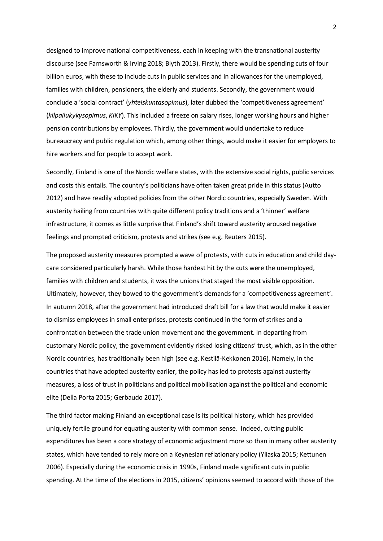designed to improve national competitiveness, each in keeping with the transnational austerity discourse (see Farnsworth & Irving 2018; Blyth 2013). Firstly, there would be spending cuts of four billion euros, with these to include cuts in public services and in allowances for the unemployed, families with children, pensioners, the elderly and students. Secondly, the government would conclude a 'social contract' (*yhteiskuntasopimus*), later dubbed the 'competitiveness agreement' (*kilpailukykysopimus*, *KIKY*). This included a freeze on salary rises, longer working hours and higher pension contributions by employees. Thirdly, the government would undertake to reduce bureaucracy and public regulation which, among other things, would make it easier for employers to hire workers and for people to accept work.

Secondly, Finland is one of the Nordic welfare states, with the extensive social rights, public services and costs this entails. The country's politicians have often taken great pride in this status (Autto 2012) and have readily adopted policies from the other Nordic countries, especially Sweden. With austerity hailing from countries with quite different policy traditions and a 'thinner' welfare infrastructure, it comes as little surprise that Finland's shift toward austerity aroused negative feelings and prompted criticism, protests and strikes (see e.g. Reuters 2015).

The proposed austerity measures prompted a wave of protests, with cuts in education and child daycare considered particularly harsh. While those hardest hit by the cuts were the unemployed, families with children and students, it was the unions that staged the most visible opposition. Ultimately, however, they bowed to the government's demands for a 'competitiveness agreement'. In autumn 2018, after the government had introduced draft bill for a law that would make it easier to dismiss employees in small enterprises, protests continued in the form of strikes and a confrontation between the trade union movement and the government. In departing from customary Nordic policy, the government evidently risked losing citizens' trust, which, as in the other Nordic countries, has traditionally been high (see e.g. Kestilä-Kekkonen 2016). Namely, in the countries that have adopted austerity earlier, the policy has led to protests against austerity measures, a loss of trust in politicians and political mobilisation against the political and economic elite (Della Porta 2015; Gerbaudo 2017).

The third factor making Finland an exceptional case is its political history, which has provided uniquely fertile ground for equating austerity with common sense. Indeed, cutting public expenditures has been a core strategy of economic adjustment more so than in many other austerity states, which have tended to rely more on a Keynesian reflationary policy (Yliaska 2015; Kettunen 2006). Especially during the economic crisis in 1990s, Finland made significant cuts in public spending. At the time of the elections in 2015, citizens' opinions seemed to accord with those of the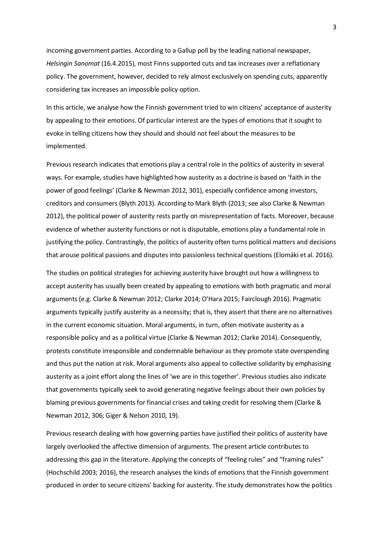incoming government parties. According to a Gallup poll by the leading national newspaper, *Helsingin Sanomat* (16.4.2015), most Finns supported cuts and tax increases over a reflationary policy. The government, however, decided to rely almost exclusively on spending cuts, apparently considering tax increases an impossible policy option.

In this article, we analyse how the Finnish government tried to win citizens' acceptance of austerity by appealing to their emotions. Of particular interest are the types of emotions that it sought to evoke in telling citizens how they should and should not feel about the measures to be implemented.

Previous research indicates that emotions play a central role in the politics of austerity in several ways. For example, studies have highlighted how austerity as a doctrine is based on 'faith in the power of good feelings' (Clarke & Newman 2012, 301), especially confidence among investors, creditors and consumers (Blyth 2013). According to Mark Blyth (2013; see also Clarke & Newman 2012), the political power of austerity rests partly on misrepresentation of facts. Moreover, because evidence of whether austerity functions or not is disputable, emotions play a fundamental role in justifying the policy. Contrastingly, the politics of austerity often turns political matters and decisions that arouse political passions and disputes into passionless technical questions (Elomäki et al. 2016).

The studies on political strategies for achieving austerity have brought out how a willingness to accept austerity has usually been created by appealing to emotions with both pragmatic and moral arguments (e.g. Clarke & Newman 2012; Clarke 2014; O'Hara 2015; Fairclough 2016). Pragmatic arguments typically justify austerity as a necessity; that is, they assert that there are no alternatives in the current economic situation. Moral arguments, in turn, often motivate austerity as a responsible policy and as a political virtue (Clarke & Newman 2012; Clarke 2014). Consequently, protests constitute irresponsible and condemnable behaviour as they promote state overspending and thus put the nation at risk. Moral arguments also appeal to collective solidarity by emphasising austerity as a joint effort along the lines of 'we are in this together'. Previous studies also indicate that governments typically seek to avoid generating negative feelings about their own policies by blaming previous governments for financial crises and taking credit for resolving them (Clarke & Newman 2012, 306; Giger & Nelson 2010, 19).

<span id="page-3-0"></span>Previous research dealing with how governing parties have justified their politics of austerity have largely overlooked the affective dimension of arguments. The present article contributes to addressing this gap in the literature. Applying the concepts of "feeling rules" and "framing rules" (Hochschild 2003; 2016), the research analyses the kinds of emotions that the Finnish government produced in order to secure citizens' backing for austerity. The study demonstrates how the politics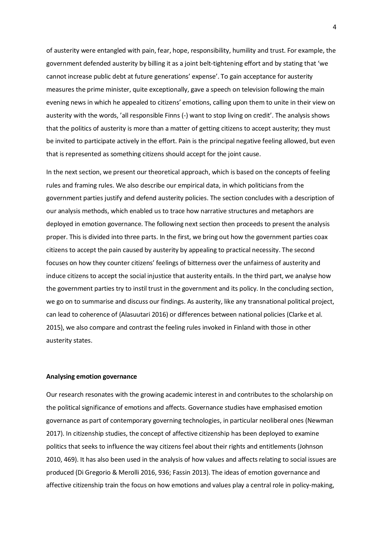of austerity were entangled with pain, fear, hope, responsibility, humility and trust. For example, the government defended austerity by billing it as a joint belt-tightening effort and by stating that 'we cannot increase public debt at future generations' expense'. To gain acceptance for austerity measures the prime minister, quite exceptionally, gave a speech on television following the main evening news in which he appealed to citizens' emotions, calling upon them to unite in their view on austerity with the words, 'all responsible Finns (-) want to stop living on credit'. The analysis shows that the politics of austerity is more than a matter of getting citizens to accept austerity; they must be invited to participate actively in the effort. Pain is the principal negative feeling allowed, but even that is represented as something citizens should accept for the joint cause.

In the next section, we present our theoretical approach, which is based on the concepts of feeling rules and framing rules. We also describe our empirical data, in which politicians from the government parties justify and defend austerity policies. The section concludes with a description of our analysis methods, which enabled us to trace how narrative structures and metaphors are deployed in emotion governance. The following next section then proceeds to present the analysis proper. This is divided into three parts. In the first, we bring out how the government parties coax citizens to accept the pain caused by austerity by appealing to practical necessity. The second focuses on how they counter citizens' feelings of bitterness over the unfairness of austerity and induce citizens to accept the social injustice that austerity entails. In the third part, we analyse how the government parties try to instil trust in the government and its policy. In the concluding section, we go on to summarise and discuss our findings. As austerity, like any transnational political project, can lead to coherence of (Alasuutari 2016) or differences between national policies (Clarke et al. 2015), we also compare and contrast the feeling rules invoked in Finland with those in other austerity states.

## **Analysing emotion governance**

Our research resonates with the growing academic interest in and contributes to the scholarship on the political significance of emotions and affects. Governance studies have emphasised emotion governance as part of contemporary governing technologies, in particular neoliberal ones (Newman 2017). In citizenship studies, the concept of affective citizenship has been deployed to examine politics that seeks to influence the way citizens feel about their rights and entitlements (Johnson 2010, 469). It has also been used in the analysis of how values and affects relating to social issues are produced (Di Gregorio & Merolli 2016, 936; Fassin 2013). The ideas of emotion governance and affective citizenship train the focus on how emotions and values play a central role in policy-making,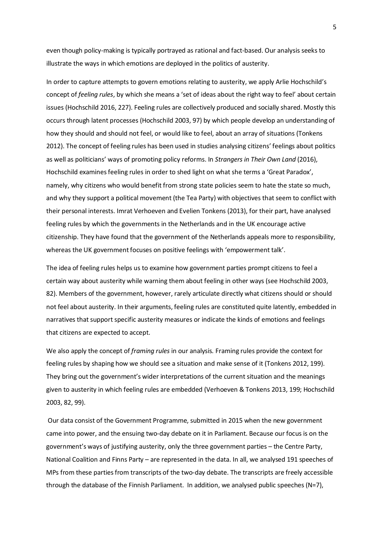even though policy-making is typically portrayed as rational and fact-based. Our analysis seeks to illustrate the ways in which emotions are deployed in the politics of austerity.

In order to capture attempts to govern emotions relating to austerity, we apply Arlie Hochschild's concept of *feeling rules*, by which she means a 'set of ideas about the right way to feel' about certain issues (Hochschild 2016, 227). Feeling rules are collectively produced and socially shared. Mostly this occurs through latent processes (Hochschild 2003, 97) by which people develop an understanding of how they should and should not feel, or would like to feel, about an array of situations (Tonkens 2012). The concept of feeling rules has been used in studies analysing citizens' feelings about politics as well as politicians' ways of promoting policy reforms. In *Strangers in Their Own Land* (2016), Hochschild examines feeling rules in order to shed light on what she terms a 'Great Paradox', namely, why citizens who would benefit from strong state policies seem to hate the state so much, and why they support a political movement (the Tea Party) with objectives that seem to conflict with their personal interests. Imrat Verhoeven and Evelien Tonkens (2013), for their part, have analysed feeling rules by which the governments in the Netherlands and in the UK encourage active citizenship. They have found that the government of the Netherlands appeals more to responsibility, whereas the UK government focuses on positive feelings with 'empowerment talk'.

The idea of feeling rules helps us to examine how government parties prompt citizens to feel a certain way about austerity while warning them about feeling in other ways (see Hochschild 2003, 82). Members of the government, however, rarely articulate directly what citizens should or should not feel about austerity. In their arguments, feeling rules are constituted quite latently, embedded in narratives that support specific austerity measures or indicate the kinds of emotions and feelings that citizens are expected to accept.

We also apply the concept of *framing rules* in our analysis*.* Framing rules provide the context for feeling rules by shaping how we should see a situation and make sense of it (Tonkens 2012, 199). They bring out the government's wider interpretations of the current situation and the meanings given to austerity in which feeling rules are embedded (Verhoeven & Tonkens 2013, 199; Hochschild 2003, 82, 99).

Our data consist of the Government Programme, submitted in 2015 when the new government came into power, and the ensuing two-day debate on it in Parliament. Because our focus is on the government's ways of justifying austerity, only the three government parties – the Centre Party, National Coalition and Finns Party – are represented in the data. In all, we analysed 191 speeches of MPs from these parties from transcripts of the two-day debate. The transcripts are freely accessible through the database of the Finnish Parliament. In addition, we analysed public speeches (N=7),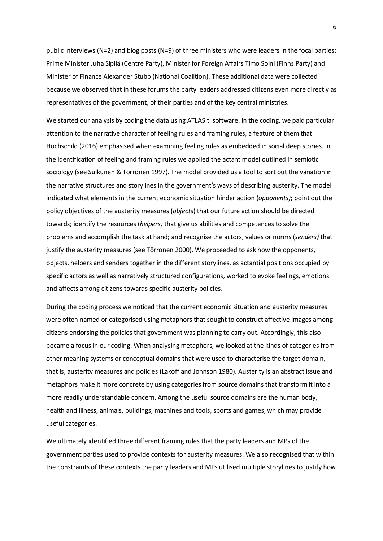public interviews (N=2) and blog posts (N=9) of three ministers who were leaders in the focal parties: Prime Minister Juha Sipilä (Centre Party), Minister for Foreign Affairs Timo Soini (Finns Party) and Minister of Finance Alexander Stubb (National Coalition). These additional data were collected because we observed that in these forums the party leaders addressed citizens even more directly as representatives of the government, of their parties and of the key central ministries.

We started our analysis by coding the data using ATLAS.ti software. In the coding, we paid particular attention to the narrative character of feeling rules and framing rules, a feature of them that Hochschild (2016) emphasised when examining feeling rules as embedded in social deep stories. In the identification of feeling and framing rules we applied the actant model outlined in semiotic sociology (see Sulkunen & Törrönen 1997). The model provided us a tool to sort out the variation in the narrative structures and storylines in the government's ways of describing austerity. The model indicated what elements in the current economic situation hinder action (*opponents)*; point out the policy objectives of the austerity measures (*object*s) that our future action should be directed towards; identify the resources (*helpers)* that give us abilities and competences to solve the problems and accomplish the task at hand; and recognise the actors, values or norms (*senders)* that justify the austerity measures (see Törrönen 2000). We proceeded to ask how the opponents, objects, helpers and senders together in the different storylines, as actantial positions occupied by specific actors as well as narratively structured configurations, worked to evoke feelings, emotions and affects among citizens towards specific austerity policies.

During the coding process we noticed that the current economic situation and austerity measures were often named or categorised using metaphors that sought to construct affective images among citizens endorsing the policies that government was planning to carry out. Accordingly, this also became a focus in our coding. When analysing metaphors, we looked at the kinds of categories from other meaning systems or conceptual domains that were used to characterise the target domain, that is, austerity measures and policies (Lakoff and Johnson 1980). Austerity is an abstract issue and metaphors make it more concrete by using categories from source domains that transform it into a more readily understandable concern. Among the useful source domains are the human body, health and illness, animals, buildings, machines and tools, sports and games, which may provide useful categories.

We ultimately identified three different framing rules that the party leaders and MPs of the government parties used to provide contexts for austerity measures. We also recognised that within the constraints of these contexts the party leaders and MPs utilised multiple storylines to justify how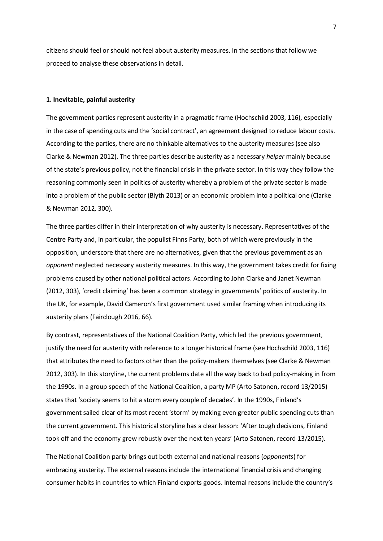citizens should feel or should not feel about austerity measures. In the sections that follow we proceed to analyse these observations in detail.

#### **1. Inevitable, painful austerity**

The government parties represent austerity in a pragmatic frame (Hochschild 2003, 116), especially in the case of spending cuts and the 'social contract', an agreement designed to reduce labour costs. According to the parties, there are no thinkable alternatives to the austerity measures (see also Clarke & Newman 2012). The three parties describe austerity as a necessary *helper* mainly because of the state's previous policy, not the financial crisis in the private sector. In this way they follow the reasoning commonly seen in politics of austerity whereby a problem of the private sector is made into a problem of the public sector (Blyth 2013) or an economic problem into a political one (Clarke & Newman 2012, 300).

The three parties differ in their interpretation of why austerity is necessary. Representatives of the Centre Party and, in particular, the populist Finns Party, both of which were previously in the opposition, underscore that there are no alternatives, given that the previous government as an *opponent* neglected necessary austerity measures. In this way, the government takes credit for fixing problems caused by other national political actors. According to John Clarke and Janet Newman (2012, 303), 'credit claiming' has been a common strategy in governments' politics of austerity. In the UK, for example, David Cameron's first government used similar framing when introducing its austerity plans (Fairclough 2016, 66).

By contrast, representatives of the National Coalition Party, which led the previous government, justify the need for austerity with reference to a longer historical frame (see Hochschild 2003, 116) that attributes the need to factors other than the policy-makers themselves (see Clarke & Newman 2012, 303). In this storyline, the current problems date all the way back to bad policy-making in from the 1990s. In a group speech of the National Coalition, a party MP (Arto Satonen, record 13/2015) states that 'society seems to hit a storm every couple of decades'. In the 1990s, Finland's government sailed clear of its most recent 'storm' by making even greater public spending cuts than the current government. This historical storyline has a clear lesson: 'After tough decisions, Finland took off and the economy grew robustly over the next ten years' (Arto Satonen, record 13/2015).

The National Coalition party brings out both external and national reasons (*opponents*) for embracing austerity. The external reasons include the international financial crisis and changing consumer habits in countries to which Finland exports goods. Internal reasons include the country's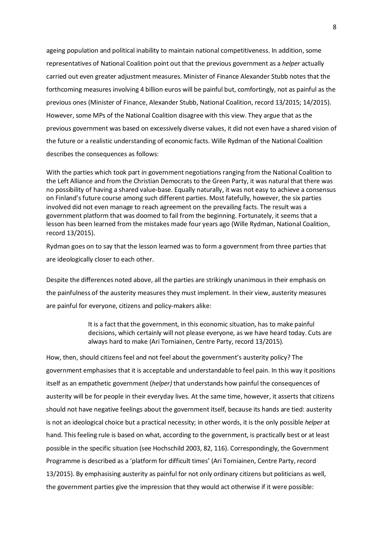ageing population and political inability to maintain national competitiveness. In addition, some representatives of National Coalition point out that the previous government as a *helper* actually carried out even greater adjustment measures. Minister of Finance Alexander Stubb notes that the forthcoming measures involving 4 billion euros will be painful but, comfortingly, not as painful as the previous ones (Minister of Finance, Alexander Stubb, National Coalition, record 13/2015; 14/2015). However, some MPs of the National Coalition disagree with this view. They argue that as the previous government was based on excessively diverse values, it did not even have a shared vision of the future or a realistic understanding of economic facts. Wille Rydman of the National Coalition describes the consequences as follows:

With the parties which took part in government negotiations ranging from the National Coalition to the Left Alliance and from the Christian Democrats to the Green Party, it was natural that there was no possibility of having a shared value-base. Equally naturally, it was not easy to achieve a consensus on Finland's future course among such different parties. Most fatefully, however, the six parties involved did not even manage to reach agreement on the prevailing facts. The result was a government platform that was doomed to fail from the beginning. Fortunately, it seems that a lesson has been learned from the mistakes made four years ago (Wille Rydman, National Coalition, record 13/2015).

Rydman goes on to say that the lesson learned was to form a government from three parties that are ideologically closer to each other.

Despite the differences noted above, all the parties are strikingly unanimous in their emphasis on the painfulness of the austerity measures they must implement. In their view, austerity measures are painful for everyone, citizens and policy-makers alike:

> It is a fact that the government, in this economic situation, has to make painful decisions, which certainly will not please everyone, as we have heard today. Cuts are always hard to make (Ari Torniainen, Centre Party, record 13/2015).

How, then, should citizens feel and not feel about the government's austerity policy? The government emphasises that it is acceptable and understandable to feel pain. In this way it positions itself as an empathetic government (*helper)* that understands how painful the consequences of austerity will be for people in their everyday lives. At the same time, however, it asserts that citizens should not have negative feelings about the government itself, because its hands are tied: austerity is not an ideological choice but a practical necessity; in other words, it is the only possible *helper* at hand. This feeling rule is based on what, according to the government, is practically best or at least possible in the specific situation (see Hochschild 2003, 82, 116). Correspondingly, the Government Programme is described as a 'platform for difficult times' (Ari Torniainen, Centre Party, record 13/2015). By emphasising austerity as painful for not only ordinary citizens but politicians as well, the government parties give the impression that they would act otherwise if it were possible: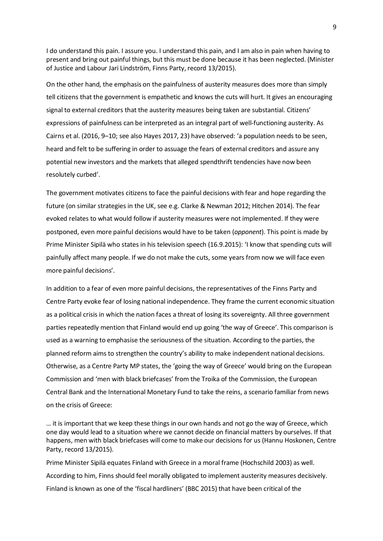I do understand this pain. I assure you. I understand this pain, and I am also in pain when having to present and bring out painful things, but this must be done because it has been neglected. (Minister of Justice and Labour Jari Lindström, Finns Party, record 13/2015).

On the other hand, the emphasis on the painfulness of austerity measures does more than simply tell citizens that the government is empathetic and knows the cuts will hurt. It gives an encouraging signal to external creditors that the austerity measures being taken are substantial. Citizens' expressions of painfulness can be interpreted as an integral part of well-functioning austerity. As Cairns et al. (2016, 9–10; see also Hayes 2017, 23) have observed: 'a population needs to be seen, heard and felt to be suffering in order to assuage the fears of external creditors and assure any potential new investors and the markets that alleged spendthrift tendencies have now been resolutely curbed'.

The government motivates citizens to face the painful decisions with fear and hope regarding the future (on similar strategies in the UK, see e.g. Clarke & Newman 2012; Hitchen 2014). The fear evoked relates to what would follow if austerity measures were not implemented. If they were postponed, even more painful decisions would have to be taken (*opponent*). This point is made by Prime Minister Sipilä who states in his television speech (16.9.2015): 'I know that spending cuts will painfully affect many people. If we do not make the cuts, some years from now we will face even more painful decisions'.

In addition to a fear of even more painful decisions, the representatives of the Finns Party and Centre Party evoke fear of losing national independence. They frame the current economic situation as a political crisis in which the nation faces a threat of losing its sovereignty. All three government parties repeatedly mention that Finland would end up going 'the way of Greece'. This comparison is used as a warning to emphasise the seriousness of the situation. According to the parties, the planned reform aims to strengthen the country's ability to make independent national decisions. Otherwise, as a Centre Party MP states, the 'going the way of Greece' would bring on the European Commission and 'men with black briefcases' from the Troika of the Commission, the European Central Bank and the International Monetary Fund to take the reins, a scenario familiar from news on the crisis of Greece:

… it is important that we keep these things in our own hands and not go the way of Greece, which one day would lead to a situation where we cannot decide on financial matters by ourselves. If that happens, men with black briefcases will come to make our decisions for us (Hannu Hoskonen, Centre Party, record 13/2015).

Prime Minister Sipilä equates Finland with Greece in a moral frame (Hochschild 2003) as well. According to him, Finns should feel morally obligated to implement austerity measures decisively. Finland is known as one of the 'fiscal hardliners' (BBC 2015) that have been critical of the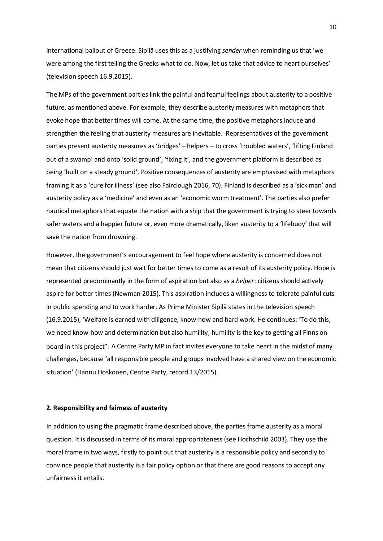international bailout of Greece. Sipilä uses this as a justifying *sender* when reminding us that 'we were among the first telling the Greeks what to do. Now, let us take that advice to heart ourselves' (television speech 16.9.2015).

The MPs of the government parties link the painful and fearful feelings about austerity to a positive future, as mentioned above. For example, they describe austerity measures with metaphors that evoke hope that better times will come. At the same time, the positive metaphors induce and strengthen the feeling that austerity measures are inevitable. Representatives of the government parties present austerity measures as 'bridges' – helpers – to cross 'troubled waters', 'lifting Finland out of a swamp' and onto 'solid ground', 'fixing it', and the government platform is described as being 'built on a steady ground'. Positive consequences of austerity are emphasised with metaphors framing it as a 'cure for illness' (see also Fairclough 2016, 70). Finland is described as a 'sick man' and austerity policy as a 'medicine' and even as an 'economic worm treatment'. The parties also prefer nautical metaphors that equate the nation with a ship that the government is trying to steer towards safer waters and a happier future or, even more dramatically, liken austerity to a 'lifebuoy' that will save the nation from drowning.

However, the government's encouragement to feel hope where austerity is concerned does not mean that citizens should just wait for better times to come as a result of its austerity policy. Hope is represented predominantly in the form of aspiration but also as a *helper*: citizens should actively aspire for better times (Newman 2015). This aspiration includes a willingness to tolerate painful cuts in public spending and to work harder. As Prime Minister Sipilä states in the television speech (16.9.2015), 'Welfare is earned with diligence, know-how and hard work. He continues: 'To do this, we need know-how and determination but also humility; humility is the key to getting all Finns on board in this project". A Centre Party MP in fact invites everyone to take heart in the midst of many challenges, because 'all responsible people and groups involved have a shared view on the economic situation' (Hannu Hoskonen, Centre Party, record 13/2015).

## **2. Responsibility and fairness of austerity**

In addition to using the pragmatic frame described above, the parties frame austerity as a moral question. It is discussed in terms of its moral appropriateness (see Hochschild 2003). They use the moral frame in two ways, firstly to point out that austerity is a responsible policy and secondly to convince people that austerity is a fair policy option or that there are good reasons to accept any unfairness it entails.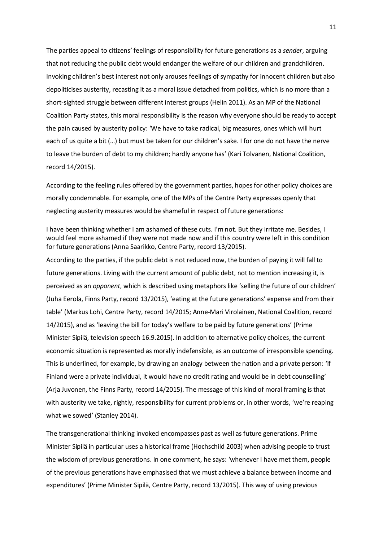The parties appeal to citizens' feelings of responsibility for future generations as a *sender*, arguing that not reducing the public debt would endanger the welfare of our children and grandchildren. Invoking children's best interest not only arouses feelings of sympathy for innocent children but also depoliticises austerity, recasting it as a moral issue detached from politics, which is no more than a short-sighted struggle between different interest groups (Helin 2011). As an MP of the National Coalition Party states, this moral responsibility is the reason why everyone should be ready to accept the pain caused by austerity policy: 'We have to take radical, big measures, ones which will hurt each of us quite a bit (…) but must be taken for our children's sake. I for one do not have the nerve to leave the burden of debt to my children; hardly anyone has' (Kari Tolvanen, National Coalition, record 14/2015).

According to the feeling rules offered by the government parties, hopes for other policy choices are morally condemnable. For example, one of the MPs of the Centre Party expresses openly that neglecting austerity measures would be shameful in respect of future generations:

I have been thinking whether I am ashamed of these cuts. I'm not. But they irritate me. Besides, I would feel more ashamed if they were not made now and if this country were left in this condition for future generations (Anna Saarikko, Centre Party, record 13/2015).

According to the parties, if the public debt is not reduced now, the burden of paying it will fall to future generations. Living with the current amount of public debt, not to mention increasing it, is perceived as an *opponent*, which is described using metaphors like 'selling the future of our children' (Juha Eerola, Finns Party, record 13/2015), 'eating at the future generations' expense and from their table' (Markus Lohi, Centre Party, record 14/2015; Anne-Mari Virolainen, National Coalition, record 14/2015), and as 'leaving the bill for today's welfare to be paid by future generations' (Prime Minister Sipilä, television speech 16.9.2015). In addition to alternative policy choices, the current economic situation is represented as morally indefensible, as an outcome of irresponsible spending. This is underlined, for example, by drawing an analogy between the nation and a private person: 'if Finland were a private individual, it would have no credit rating and would be in debt counselling' (Arja Juvonen, the Finns Party, record 14/2015). The message of this kind of moral framing is that with austerity we take, rightly, responsibility for current problems or, in other words, 'we're reaping what we sowed' (Stanley 2014).

The transgenerational thinking invoked encompasses past as well as future generations. Prime Minister Sipilä in particular uses a historical frame (Hochschild 2003) when advising people to trust the wisdom of previous generations. In one comment, he says: 'whenever I have met them, people of the previous generations have emphasised that we must achieve a balance between income and expenditures' (Prime Minister Sipilä, Centre Party, record 13/2015). This way of using previous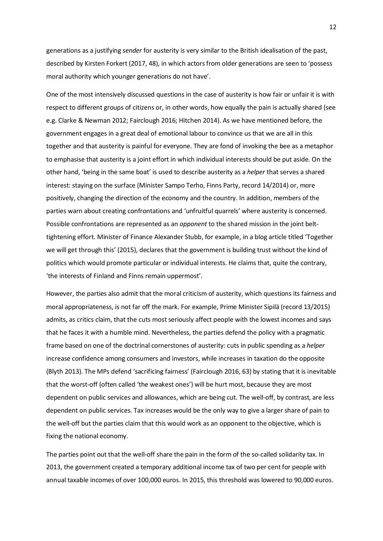generations as a justifying *sender* for austerity is very similar to the British idealisation of the past, described by Kirsten Forkert (2017, 48), in which actors from older generations are seen to 'possess moral authority which younger generations do not have'.

One of the most intensively discussed questions in the case of austerity is how fair or unfair it is with respect to different groups of citizens or, in other words, how equally the pain is actually shared (see e.g. Clarke & Newman 2012; Fairclough 2016; Hitchen 2014). As we have mentioned before, the government engages in a great deal of emotional labour to convince us that we are all in this together and that austerity is painful for everyone. They are fond of invoking the bee as a metaphor to emphasise that austerity is a joint effort in which individual interests should be put aside. On the other hand, 'being in the same boat' is used to describe austerity as a *helper* that serves a shared interest: staying on the surface (Minister Sampo Terho, Finns Party, record 14/2014) or, more positively, changing the direction of the economy and the country. In addition, members of the parties warn about creating confrontations and 'unfruitful quarrels' where austerity is concerned. Possible confrontations are represented as an *opponent* to the shared mission in the joint belttightening effort. Minister of Finance Alexander Stubb, for example, in a blog article titled 'Together we will get through this' (2015), declares that the government is building trust without the kind of politics which would promote particular or individual interests. He claims that, quite the contrary, 'the interests of Finland and Finns remain uppermost'.

However, the parties also admit that the moral criticism of austerity, which questions its fairness and moral appropriateness, is not far off the mark. For example, Prime Minister Sipilä (record 13/2015) admits, as critics claim, that the cuts most seriously affect people with the lowest incomes and says that he faces it with a humble mind. Nevertheless, the parties defend the policy with a pragmatic frame based on one of the doctrinal cornerstones of austerity: cuts in public spending as a *helper* increase confidence among consumers and investors, while increases in taxation do the opposite (Blyth 2013). The MPs defend 'sacrificing fairness' (Fairclough 2016, 63) by stating that it is inevitable that the worst-off (often called 'the weakest ones') will be hurt most, because they are most dependent on public services and allowances, which are being cut. The well-off, by contrast, are less dependent on public services. Tax increases would be the only way to give a larger share of pain to the well-off but the parties claim that this would work as an opponent to the objective, which is fixing the national economy.

The parties point out that the well-off share the pain in the form of the so-called solidarity tax. In 2013, the government created a temporary additional income tax of two per centfor people with annual taxable incomes of over 100,000 euros. In 2015, this threshold was lowered to 90,000 euros.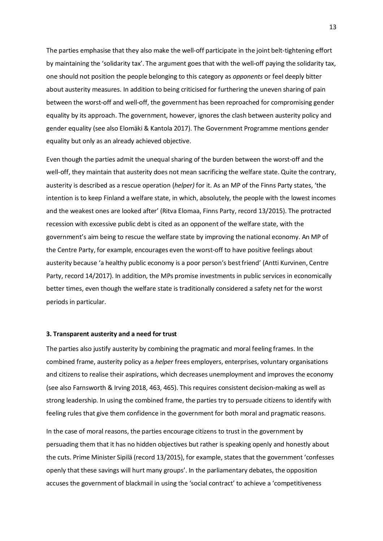The parties emphasise that they also make the well-off participate in the joint belt-tightening effort by maintaining the 'solidarity tax'. The argument goes that with the well-off paying the solidarity tax, one should not position the people belonging to this category as *opponents* or feel deeply bitter about austerity measures. In addition to being criticised for furthering the uneven sharing of pain between the worst-off and well-off, the government has been reproached for compromising gender equality by its approach. The government, however, ignores the clash between austerity policy and gender equality (see also Elomäki & Kantola 2017). The Government Programme mentions gender equality but only as an already achieved objective.

Even though the parties admit the unequal sharing of the burden between the worst-off and the well-off, they maintain that austerity does not mean sacrificing the welfare state. Quite the contrary, austerity is described as a rescue operation (*helper)* for it. As an MP of the Finns Party states, 'the intention is to keep Finland a welfare state, in which, absolutely, the people with the lowest incomes and the weakest ones are looked after' (Ritva Elomaa, Finns Party, record 13/2015). The protracted recession with excessive public debt is cited as an opponent of the welfare state, with the government's aim being to rescue the welfare state by improving the national economy. An MP of the Centre Party, for example, encourages even the worst-off to have positive feelings about austerity because 'a healthy public economy is a poor person's best friend' (Antti Kurvinen, Centre Party, record 14/2017). In addition, the MPs promise investments in public services in economically better times, even though the welfare state is traditionally considered a safety net for the worst periods in particular.

## **3. Transparent austerity and a need for trust**

The parties also justify austerity by combining the pragmatic and moral feeling frames. In the combined frame, austerity policy as a *helper* frees employers, enterprises, voluntary organisations and citizens to realise their aspirations, which decreases unemployment and improves the economy (see also Farnsworth & Irving 2018, 463, 465). This requires consistent decision-making as well as strong leadership. In using the combined frame, the parties try to persuade citizens to identify with feeling rules that give them confidence in the government for both moral and pragmatic reasons.

In the case of moral reasons, the parties encourage citizens to trust in the government by persuading them that it has no hidden objectives but rather is speaking openly and honestly about the cuts. Prime Minister Sipilä (record 13/2015), for example, states that the government 'confesses openly that these savings will hurt many groups'. In the parliamentary debates, the opposition accuses the government of blackmail in using the 'social contract' to achieve a 'competitiveness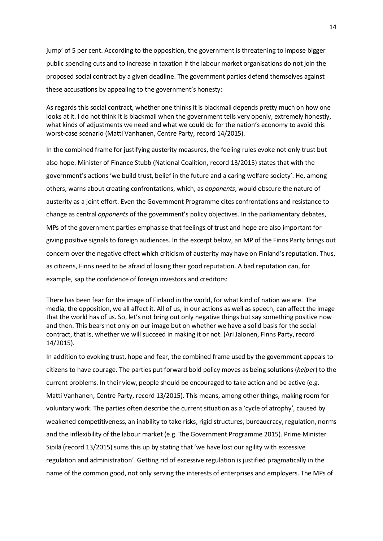jump' of 5 per cent. According to the opposition, the government is threatening to impose bigger public spending cuts and to increase in taxation if the labour market organisations do not join the proposed social contract by a given deadline. The government parties defend themselves against these accusations by appealing to the government's honesty:

As regards this social contract, whether one thinks it is blackmail depends pretty much on how one looks at it. I do not think it is blackmail when the government tells very openly, extremely honestly, what kinds of adjustments we need and what we could do for the nation's economy to avoid this worst-case scenario (Matti Vanhanen, Centre Party, record 14/2015).

In the combined frame for justifying austerity measures, the feeling rules evoke not only trust but also hope. Minister of Finance Stubb (National Coalition, record 13/2015) states that with the government's actions 'we build trust, belief in the future and a caring welfare society'. He, among others, warns about creating confrontations, which, as *opponents*, would obscure the nature of austerity as a joint effort. Even the Government Programme cites confrontations and resistance to change as central *opponents* of the government's policy objectives. In the parliamentary debates, MPs of the government parties emphasise that feelings of trust and hope are also important for giving positive signals to foreign audiences. In the excerpt below, an MP of the Finns Party brings out concern over the negative effect which criticism of austerity may have on Finland's reputation. Thus, as citizens, Finns need to be afraid of losing their good reputation. A bad reputation can, for example, sap the confidence of foreign investors and creditors:

There has been fear for the image of Finland in the world, for what kind of nation we are. The media, the opposition, we all affect it. All of us, in our actions as well as speech, can affect the image that the world has of us. So, let's not bring out only negative things but say something positive now and then. This bears not only on our image but on whether we have a solid basis for the social contract, that is, whether we will succeed in making it or not. (Ari Jalonen, Finns Party, record 14/2015).

In addition to evoking trust, hope and fear, the combined frame used by the government appeals to citizens to have courage. The parties put forward bold policy moves as being solutions (*helper*) to the current problems. In their view, people should be encouraged to take action and be active (e.g. Matti Vanhanen, Centre Party, record 13/2015). This means, among other things, making room for voluntary work. The parties often describe the current situation as a 'cycle of atrophy', caused by weakened competitiveness, an inability to take risks, rigid structures, bureaucracy, regulation, norms and the inflexibility of the labour market (e.g. The Government Programme 2015). Prime Minister Sipilä (record 13/2015) sums this up by stating that 'we have lost our agility with excessive regulation and administration'. Getting rid of excessive regulation is justified pragmatically in the name of the common good, not only serving the interests of enterprises and employers. The MPs of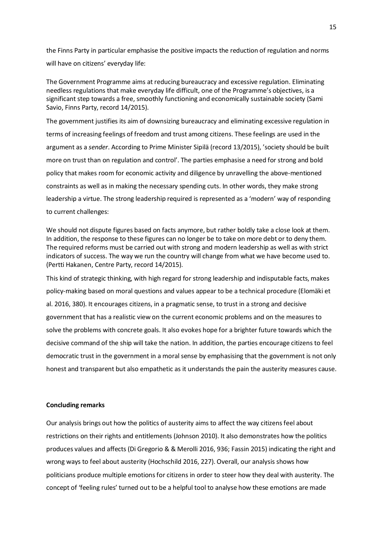the Finns Party in particular emphasise the positive impacts the reduction of regulation and norms will have on citizens' everyday life:

The Government Programme aims at reducing bureaucracy and excessive regulation. Eliminating needless regulations that make everyday life difficult, one of the Programme's objectives, is a significant step towards a free, smoothly functioning and economically sustainable society (Sami Savio, Finns Party, record 14/2015).

The government justifies its aim of downsizing bureaucracy and eliminating excessive regulation in terms of increasing feelings of freedom and trust among citizens. These feelings are used in the argument as a *sender*. According to Prime Minister Sipilä (record 13/2015), 'society should be built more on trust than on regulation and control'. The parties emphasise a need for strong and bold policy that makes room for economic activity and diligence by unravelling the above-mentioned constraints as well as in making the necessary spending cuts. In other words, they make strong leadership a virtue. The strong leadership required is represented as a 'modern' way of responding to current challenges:

We should not dispute figures based on facts anymore, but rather boldly take a close look at them. In addition, the response to these figures can no longer be to take on more debt or to deny them. The required reforms must be carried out with strong and modern leadership as well as with strict indicators of success. The way we run the country will change from what we have become used to. (Pertti Hakanen, Centre Party, record 14/2015).

This kind of strategic thinking, with high regard for strong leadership and indisputable facts, makes policy-making based on moral questions and values appear to be a technical procedure (Elomäki et al. 2016, 380). It encourages citizens, in a pragmatic sense, to trust in a strong and decisive government that has a realistic view on the current economic problems and on the measures to solve the problems with concrete goals. It also evokes hope for a brighter future towards which the decisive command of the ship will take the nation. In addition, the parties encourage citizens to feel democratic trust in the government in a moral sense by emphasising that the government is not only honest and transparent but also empathetic as it understands the pain the austerity measures cause.

# **Concluding remarks**

Our analysis brings out how the politics of austerity aims to affect the way citizens feel about restrictions on their rights and entitlements (Johnson 2010). It also demonstrates how the politics produces values and affects (Di Gregorio & & Merolli 2016, 936; Fassin 2015) indicating the right and wrong ways to feel about austerity (Hochschild 2016, 227). Overall, our analysis shows how politicians produce multiple emotions for citizens in order to steer how they deal with austerity. The concept of 'feeling rules' turned out to be a helpful tool to analyse how these emotions are made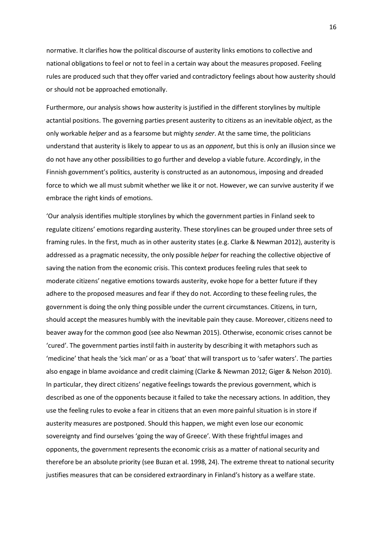normative. It clarifies how the political discourse of austerity links emotions to collective and national obligations to feel or not to feel in a certain way about the measures proposed. Feeling rules are produced such that they offer varied and contradictory feelings about how austerity should or should not be approached emotionally.

Furthermore, our analysis shows how austerity is justified in the different storylines by multiple actantial positions. The governing parties present austerity to citizens as an inevitable *object*, as the only workable *helper* and as a fearsome but mighty *sender*. At the same time, the politicians understand that austerity is likely to appear to us as an *opponent*, but this is only an illusion since we do not have any other possibilities to go further and develop a viable future. Accordingly, in the Finnish government's politics, austerity is constructed as an autonomous, imposing and dreaded force to which we all must submit whether we like it or not. However, we can survive austerity if we embrace the right kinds of emotions.

'Our analysis identifies multiple storylines by which the government parties in Finland seek to regulate citizens' emotions regarding austerity. These storylines can be grouped under three sets of framing rules. In the first, much as in other austerity states (e.g. Clarke & Newman 2012), austerity is addressed as a pragmatic necessity, the only possible *helper* for reaching the collective objective of saving the nation from the economic crisis. This context produces feeling rules that seek to moderate citizens' negative emotions towards austerity, evoke hope for a better future if they adhere to the proposed measures and fear if they do not. According to these feeling rules, the government is doing the only thing possible under the current circumstances. Citizens, in turn, should accept the measures humbly with the inevitable pain they cause. Moreover, citizens need to beaver away for the common good (see also Newman 2015). Otherwise, economic crises cannot be 'cured'. The government parties instil faith in austerity by describing it with metaphors such as 'medicine' that heals the 'sick man' or as a 'boat' that will transport us to 'safer waters'. The parties also engage in blame avoidance and credit claiming (Clarke & Newman 2012; Giger & Nelson 2010). In particular, they direct citizens' negative feelings towards the previous government, which is described as one of the opponents because it failed to take the necessary actions. In addition, they use the feeling rules to evoke a fear in citizens that an even more painful situation is in store if austerity measures are postponed. Should this happen, we might even lose our economic sovereignty and find ourselves 'going the way of Greece'. With these frightful images and opponents, the government represents the economic crisis as a matter of national security and therefore be an absolute priority (see Buzan et al. 1998, 24). The extreme threat to national security justifies measures that can be considered extraordinary in Finland's history as a welfare state.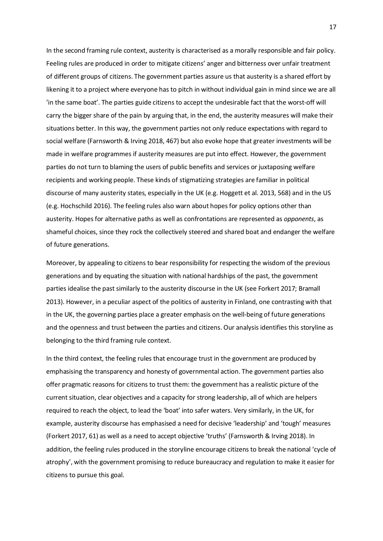In the second framing rule context, austerity is characterised as a morally responsible and fair policy. Feeling rules are produced in order to mitigate citizens' anger and bitterness over unfair treatment of different groups of citizens. The government parties assure us that austerity is a shared effort by likening it to a project where everyone has to pitch in without individual gain in mind since we are all 'in the same boat'. The parties guide citizens to accept the undesirable fact that the worst-off will carry the bigger share of the pain by arguing that, in the end, the austerity measures will make their situations better. In this way, the government parties not only reduce expectations with regard to social welfare (Farnsworth & Irving 2018, 467) but also evoke hope that greater investments will be made in welfare programmes if austerity measures are put into effect. However, the government parties do not turn to blaming the users of public benefits and services or juxtaposing welfare recipients and working people. These kinds of stigmatizing strategies are familiar in political discourse of many austerity states, especially in the UK (e.g. Hoggett et al. 2013, 568) and in the US (e.g. Hochschild 2016). The feeling rules also warn about hopes for policy options other than austerity. Hopes for alternative paths as well as confrontations are represented as *opponents*, as shameful choices, since they rock the collectively steered and shared boat and endanger the welfare of future generations.

Moreover, by appealing to citizens to bear responsibility for respecting the wisdom of the previous generations and by equating the situation with national hardships of the past, the government parties idealise the past similarly to the austerity discourse in the UK (see Forkert 2017; Bramall 2013). However, in a peculiar aspect of the politics of austerity in Finland, one contrasting with that in the UK, the governing parties place a greater emphasis on the well-being of future generations and the openness and trust between the parties and citizens. Our analysis identifies this storyline as belonging to the third framing rule context.

In the third context, the feeling rules that encourage trust in the government are produced by emphasising the transparency and honesty of governmental action. The government parties also offer pragmatic reasons for citizens to trust them: the government has a realistic picture of the current situation, clear objectives and a capacity for strong leadership, all of which are helpers required to reach the object, to lead the 'boat' into safer waters. Very similarly, in the UK, for example, austerity discourse has emphasised a need for decisive 'leadership' and 'tough' measures (Forkert 2017, 61) as well as a need to accept objective 'truths' (Farnsworth & Irving 2018). In addition, the feeling rules produced in the storyline encourage citizens to break the national 'cycle of atrophy', with the government promising to reduce bureaucracy and regulation to make it easier for citizens to pursue this goal.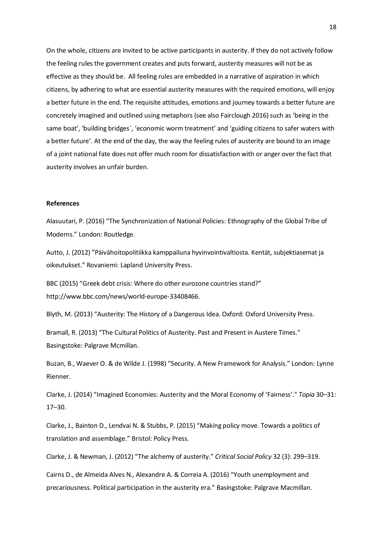On the whole, citizens are invited to be active participants in austerity. If they do not actively follow the feeling rules the government creates and puts forward, austerity measures will not be as effective as they should be. All feeling rules are embedded in a narrative of aspiration in which citizens, by adhering to what are essential austerity measures with the required emotions, will enjoy a better future in the end. The requisite attitudes, emotions and journey towards a better future are concretely imagined and outlined using metaphors (see also Fairclough 2016) such as 'being in the same boat', 'building bridges´, 'economic worm treatment' and 'guiding citizens to safer waters with a better future'. At the end of the day, the way the feeling rules of austerity are bound to an image of a joint national fate does not offer much room for dissatisfaction with or anger over the fact that austerity involves an unfair burden.

#### **References**

Alasuutari, P. (2016) "The Synchronization of National Policies: Ethnography of the Global Tribe of Moderns." London: Routledge.

Autto, J. (2012) "Päivähoitopolitiikka kamppailuna hyvinvointivaltiosta. Kentät, subjektiasemat ja oikeutukset." Rovaniemi: Lapland University Press.

BBC (2015) "Greek debt crisis: Where do other eurozone countries stand?" http://www.bbc.com/news/world-europe-33408466.

Blyth, M. (2013) "Austerity: The History of a Dangerous Idea. Oxford: Oxford University Press.

Bramall, R. (2013) "The Cultural Politics of Austerity. Past and Present in Austere Times." Basingstoke: Palgrave Mcmillan.

Buzan, B., Waever O. & de Wilde J. (1998) "Security. A New Framework for Analysis." London: Lynne Rienner.

Clarke, J. (2014) "Imagined Economies: Austerity and the Moral Economy of 'Fairness'." *Topia* 30–31: 17–30.

Clarke, J., Bainton D., Lendvai N. & Stubbs, P. (2015) "Making policy move. Towards a politics of translation and assemblage." Bristol: Policy Press.

Clarke, J. & Newman, J. (2012) "The alchemy of austerity." *Critical Social Policy* 32 (3): 299–319.

Cairns D., de Almeida Alves N., Alexandre A. & Correia A. (2016) "Youth unemployment and precariousness. Political participation in the austerity era." Basingstoke: Palgrave Macmillan.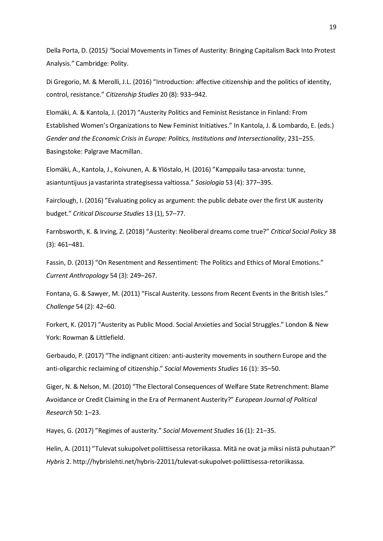Della Porta, D. (2015*) "*Social Movements in Times of Austerity: Bringing Capitalism Back Into Protest Analysis." Cambridge: Polity.

Di Gregorio, M. & Merolli, J.L. (2016) "Introduction: affective citizenship and the politics of identity, control, resistance." *Citizenship Studies* 20 (8): 933–942.

Elomäki, A. & Kantola, J. (2017) "Austerity Politics and Feminist Resistance in Finland: From Established Women's Organizations to New Feminist Initiatives." In Kantola, J. & Lombardo, E. (eds.) *Gender and the Economic Crisis in Europe: Politics, Institutions and Intersectionality*, 231–255. Basingstoke: Palgrave Macmillan.

Elomäki, A., Kantola, J., Koivunen, A. & Ylöstalo, H. (2016) "Kamppailu tasa-arvosta: tunne, asiantuntijuus ja vastarinta strategisessa valtiossa." *Sosiologia* 53 (4): 377–395.

Fairclough, I. (2016) "Evaluating policy as argument: the public debate over the first UK austerity budget." *Critical Discourse Studies* 13 (1), 57–77.

Farnbsworth, K. & Irving, Z. (2018) "Austerity: Neoliberal dreams come true?" *Critical Social Policy* 38 (3): 461–481.

Fassin, D. (2013) "On Resentment and Ressentiment: The Politics and Ethics of Moral Emotions." *Current Anthropology* 54 (3): 249–267.

Fontana, G. & Sawyer, M. (2011) "Fiscal Austerity. Lessons from Recent Events in the British Isles." *Challenge* 54 (2): 42–60.

Forkert, K. (2017) "Austerity as Public Mood. Social Anxieties and Social Struggles." London & New York: Rowman & Littlefield.

Gerbaudo, P. (2017) "The indignant citizen: anti-austerity movements in southern Europe and the anti-oligarchic reclaiming of citizenship." *Social Movements Studies* 16 (1): 35–50.

Giger, N. & Nelson, M. (2010) "The Electoral Consequences of Welfare State Retrenchment: Blame Avoidance or Credit Claiming in the Era of Permanent Austerity?" *European Journal of Political Research* 50: 1–23.

Hayes, G. (2017) "Regimes of austerity." *Social Movement Studies* 16 (1): 21–35.

Helin, A. (2011) "Tulevat sukupolvet poliittisessa retoriikassa. Mitä ne ovat ja miksi niistä puhutaan?" *Hybris* 2. http://hybrislehti.net/hybris-22011/tulevat-sukupolvet-poliittisessa-retoriikassa.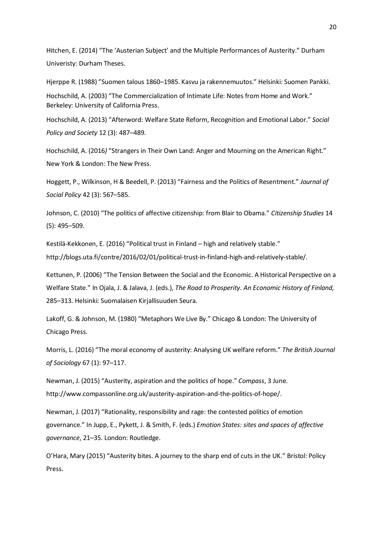Hitchen, E. (2014) "The 'Austerian Subject' and the Multiple Performances of Austerity." Durham Univeristy: Durham Theses.

Hjerppe R. (1988) "Suomen talous 1860–1985. Kasvu ja rakennemuutos." Helsinki: Suomen Pankki. Hochschild, A. (2003) "The Commercialization of Intimate Life: Notes from Home and Work." Berkeley: University of California Press.

Hochschild, A. (2013) "Afterword: Welfare State Reform, Recognition and Emotional Labor." *Social Policy and Society* 12 (3): 487–489.

Hochschild, A. (2016*)* "Strangers in Their Own Land: Anger and Mourning on the American Right." New York & London: The New Press.

Hoggett, P., Wilkinson, H & Beedell, P. (2013) "Fairness and the Politics of Resentment." *Journal of Social Policy* 42 (3): 567–585.

Johnson, C. (2010) "The politics of affective citizenship: from Blair to Obama." *Citizenship Studies* 14 (5): 495–509.

Kestilä-Kekkonen, E. (2016) "Political trust in Finland – high and relatively stable." http://blogs.uta.fi/contre/2016/02/01/political-trust-in-finland-high-and-relatively-stable/.

Kettunen, P. (2006) "The Tension Between the Social and the Economic. A Historical Perspective on a Welfare State." In Ojala, J. & Jalava, J. (eds.), *The Road to Prosperity. An Economic History of Finland,*  285–313. Helsinki: Suomalaisen Kirjallisuuden Seura.

Lakoff, G. & Johnson, M. (1980) "Metaphors We Live By." Chicago & London: The University of Chicago Press.

Morris, L. (2016) "The moral economy of austerity: Analysing UK welfare reform." *The British Journal of Sociology* 67 (1): 97–117.

Newman, J. (2015) "Austerity, aspiration and the politics of hope." *Compass*, 3 June. http://www.compassonline.org.uk/austerity-aspiration-and-the-politics-of-hope/.

Newman, J. (2017) "Rationality, responsibility and rage: the contested politics of emotion governance." In Jupp, E., Pykett, J. & Smith, F. (eds.) *Emotion States: sites and spaces of affective governance*, 21–35. London: Routledge.

O'Hara, Mary (2015) "Austerity bites. A journey to the sharp end of cuts in the UK." Bristol: Policy Press.